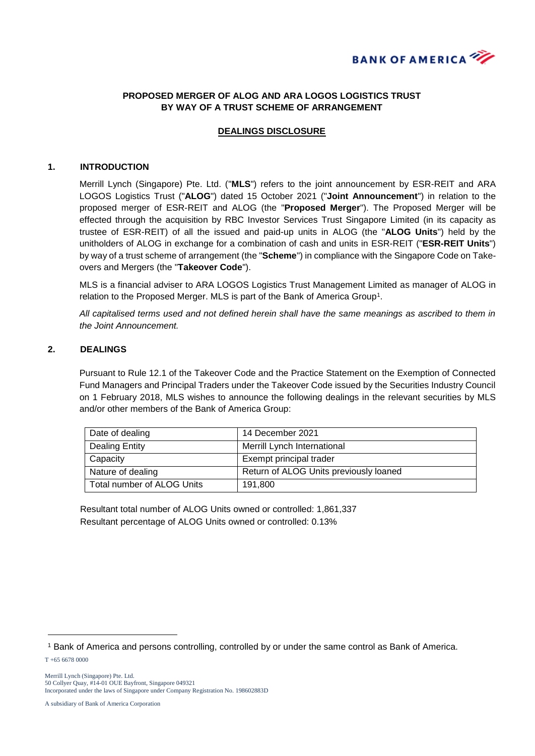

## **PROPOSED MERGER OF ALOG AND ARA LOGOS LOGISTICS TRUST BY WAY OF A TRUST SCHEME OF ARRANGEMENT**

## **DEALINGS DISCLOSURE**

#### **1. INTRODUCTION**

Merrill Lynch (Singapore) Pte. Ltd. ("**MLS**") refers to the joint announcement by ESR-REIT and ARA LOGOS Logistics Trust ("**ALOG**") dated 15 October 2021 ("**Joint Announcement**") in relation to the proposed merger of ESR-REIT and ALOG (the "**Proposed Merger**"). The Proposed Merger will be effected through the acquisition by RBC Investor Services Trust Singapore Limited (in its capacity as trustee of ESR-REIT) of all the issued and paid-up units in ALOG (the "**ALOG Units**") held by the unitholders of ALOG in exchange for a combination of cash and units in ESR-REIT ("**ESR-REIT Units**") by way of a trust scheme of arrangement (the "**Scheme**") in compliance with the Singapore Code on Takeovers and Mergers (the "**Takeover Code**").

MLS is a financial adviser to ARA LOGOS Logistics Trust Management Limited as manager of ALOG in relation to the Proposed Merger. MLS is part of the Bank of America Group<sup>1</sup>.

*All capitalised terms used and not defined herein shall have the same meanings as ascribed to them in the Joint Announcement.*

### **2. DEALINGS**

Pursuant to Rule 12.1 of the Takeover Code and the Practice Statement on the Exemption of Connected Fund Managers and Principal Traders under the Takeover Code issued by the Securities Industry Council on 1 February 2018, MLS wishes to announce the following dealings in the relevant securities by MLS and/or other members of the Bank of America Group:

| Date of dealing            | 14 December 2021                       |
|----------------------------|----------------------------------------|
| Dealing Entity             | Merrill Lynch International            |
| Capacity                   | Exempt principal trader                |
| Nature of dealing          | Return of ALOG Units previously loaned |
| Total number of ALOG Units | 191.800                                |

Resultant total number of ALOG Units owned or controlled: 1,861,337 Resultant percentage of ALOG Units owned or controlled: 0.13%

-

<sup>1</sup> Bank of America and persons controlling, controlled by or under the same control as Bank of America.

T +65 6678 0000